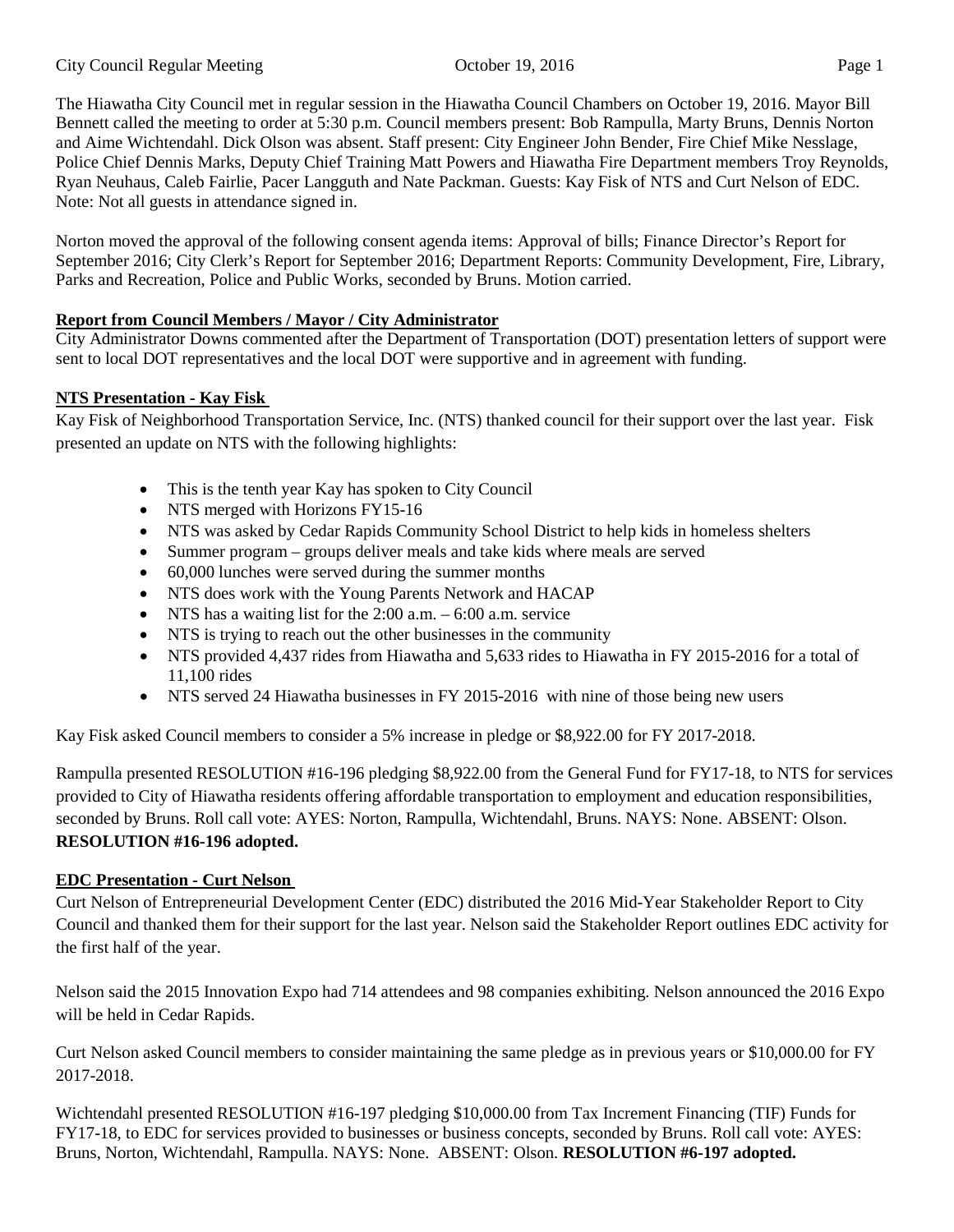The Hiawatha City Council met in regular session in the Hiawatha Council Chambers on October 19, 2016. Mayor Bill Bennett called the meeting to order at 5:30 p.m. Council members present: Bob Rampulla, Marty Bruns, Dennis Norton and Aime Wichtendahl. Dick Olson was absent. Staff present: City Engineer John Bender, Fire Chief Mike Nesslage, Police Chief Dennis Marks, Deputy Chief Training Matt Powers and Hiawatha Fire Department members Troy Reynolds, Ryan Neuhaus, Caleb Fairlie, Pacer Langguth and Nate Packman. Guests: Kay Fisk of NTS and Curt Nelson of EDC. Note: Not all guests in attendance signed in.

Norton moved the approval of the following consent agenda items: Approval of bills; Finance Director's Report for September 2016; City Clerk's Report for September 2016; Department Reports: Community Development, Fire, Library, Parks and Recreation, Police and Public Works, seconded by Bruns. Motion carried.

# **Report from Council Members / Mayor / City Administrator**

City Administrator Downs commented after the Department of Transportation (DOT) presentation letters of support were sent to local DOT representatives and the local DOT were supportive and in agreement with funding.

## **NTS Presentation - Kay Fisk**

Kay Fisk of Neighborhood Transportation Service, Inc. (NTS) thanked council for their support over the last year. Fisk presented an update on NTS with the following highlights:

- This is the tenth year Kay has spoken to City Council
- NTS merged with Horizons FY15-16
- NTS was asked by Cedar Rapids Community School District to help kids in homeless shelters
- Summer program groups deliver meals and take kids where meals are served
- 60,000 lunches were served during the summer months
- NTS does work with the Young Parents Network and HACAP
- NTS has a waiting list for the 2:00 a.m. 6:00 a.m. service
- NTS is trying to reach out the other businesses in the community
- NTS provided 4,437 rides from Hiawatha and 5,633 rides to Hiawatha in FY 2015-2016 for a total of 11,100 rides
- NTS served 24 Hiawatha businesses in FY 2015-2016 with nine of those being new users

Kay Fisk asked Council members to consider a 5% increase in pledge or \$8,922.00 for FY 2017-2018.

Rampulla presented RESOLUTION #16-196 pledging \$8,922.00 from the General Fund for FY17-18, to NTS for services provided to City of Hiawatha residents offering affordable transportation to employment and education responsibilities, seconded by Bruns. Roll call vote: AYES: Norton, Rampulla, Wichtendahl, Bruns. NAYS: None. ABSENT: Olson. **RESOLUTION #16-196 adopted.** 

### **EDC Presentation - Curt Nelson**

Curt Nelson of Entrepreneurial Development Center (EDC) distributed the 2016 Mid-Year Stakeholder Report to City Council and thanked them for their support for the last year. Nelson said the Stakeholder Report outlines EDC activity for the first half of the year.

Nelson said the 2015 Innovation Expo had 714 attendees and 98 companies exhibiting. Nelson announced the 2016 Expo will be held in Cedar Rapids.

Curt Nelson asked Council members to consider maintaining the same pledge as in previous years or \$10,000.00 for FY 2017-2018.

Wichtendahl presented RESOLUTION #16-197 pledging \$10,000.00 from Tax Increment Financing (TIF) Funds for FY17-18, to EDC for services provided to businesses or business concepts, seconded by Bruns. Roll call vote: AYES: Bruns, Norton, Wichtendahl, Rampulla. NAYS: None. ABSENT: Olson. **RESOLUTION #6-197 adopted.**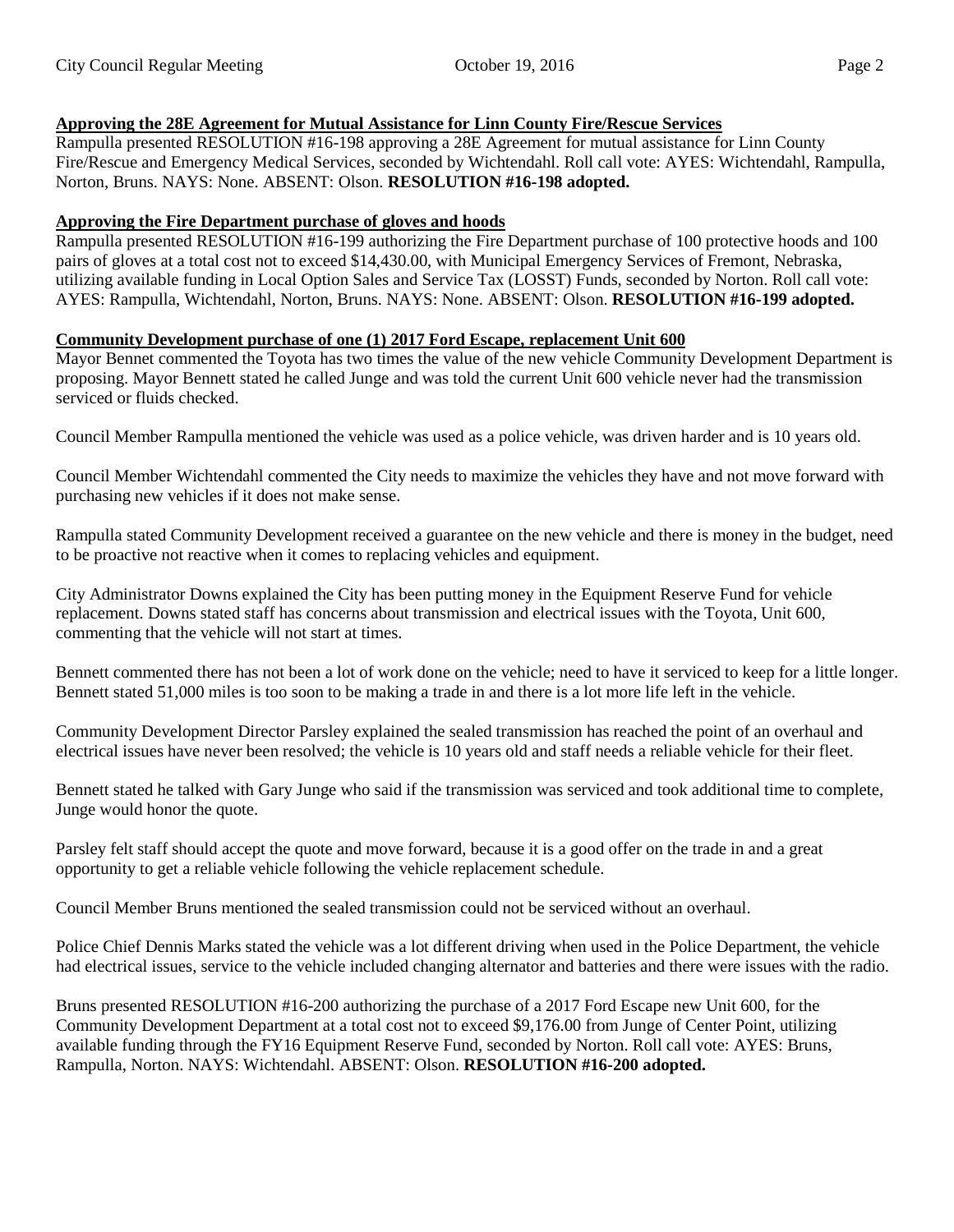## **Approving the 28E Agreement for Mutual Assistance for Linn County Fire/Rescue Services**

Rampulla presented RESOLUTION #16-198 approving a 28E Agreement for mutual assistance for Linn County Fire/Rescue and Emergency Medical Services, seconded by Wichtendahl. Roll call vote: AYES: Wichtendahl, Rampulla, Norton, Bruns. NAYS: None. ABSENT: Olson. **RESOLUTION #16-198 adopted.** 

### **Approving the Fire Department purchase of gloves and hoods**

Rampulla presented RESOLUTION #16-199 authorizing the Fire Department purchase of 100 protective hoods and 100 pairs of gloves at a total cost not to exceed \$14,430.00, with Municipal Emergency Services of Fremont, Nebraska, utilizing available funding in Local Option Sales and Service Tax (LOSST) Funds, seconded by Norton. Roll call vote: AYES: Rampulla, Wichtendahl, Norton, Bruns. NAYS: None. ABSENT: Olson. **RESOLUTION #16-199 adopted.** 

#### **Community Development purchase of one (1) 2017 Ford Escape, replacement Unit 600**

Mayor Bennet commented the Toyota has two times the value of the new vehicle Community Development Department is proposing. Mayor Bennett stated he called Junge and was told the current Unit 600 vehicle never had the transmission serviced or fluids checked.

Council Member Rampulla mentioned the vehicle was used as a police vehicle, was driven harder and is 10 years old.

Council Member Wichtendahl commented the City needs to maximize the vehicles they have and not move forward with purchasing new vehicles if it does not make sense.

Rampulla stated Community Development received a guarantee on the new vehicle and there is money in the budget, need to be proactive not reactive when it comes to replacing vehicles and equipment.

City Administrator Downs explained the City has been putting money in the Equipment Reserve Fund for vehicle replacement. Downs stated staff has concerns about transmission and electrical issues with the Toyota, Unit 600, commenting that the vehicle will not start at times.

Bennett commented there has not been a lot of work done on the vehicle; need to have it serviced to keep for a little longer. Bennett stated 51,000 miles is too soon to be making a trade in and there is a lot more life left in the vehicle.

Community Development Director Parsley explained the sealed transmission has reached the point of an overhaul and electrical issues have never been resolved; the vehicle is 10 years old and staff needs a reliable vehicle for their fleet.

Bennett stated he talked with Gary Junge who said if the transmission was serviced and took additional time to complete, Junge would honor the quote.

Parsley felt staff should accept the quote and move forward, because it is a good offer on the trade in and a great opportunity to get a reliable vehicle following the vehicle replacement schedule.

Council Member Bruns mentioned the sealed transmission could not be serviced without an overhaul.

Police Chief Dennis Marks stated the vehicle was a lot different driving when used in the Police Department, the vehicle had electrical issues, service to the vehicle included changing alternator and batteries and there were issues with the radio.

Bruns presented RESOLUTION #16-200 authorizing the purchase of a 2017 Ford Escape new Unit 600, for the Community Development Department at a total cost not to exceed \$9,176.00 from Junge of Center Point, utilizing available funding through the FY16 Equipment Reserve Fund, seconded by Norton. Roll call vote: AYES: Bruns, Rampulla, Norton. NAYS: Wichtendahl. ABSENT: Olson. **RESOLUTION #16-200 adopted.**